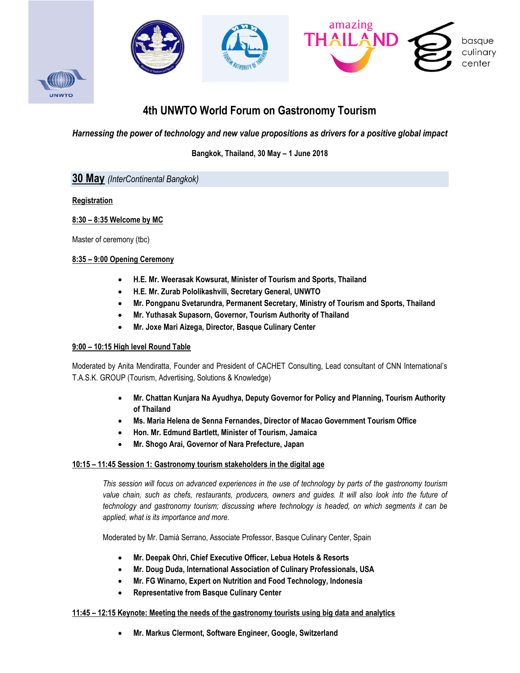

# **4th UNWTO World Forum on Gastronomy Tourism**

*Harnessing the power of technology and new value propositions as drivers for a positive global impact*

**Bangkok, Thailand, 30 May – 1 June 2018**

# **30 May** *(InterContinental Bangkok)*

# **Registration**

# **8:30 – 8:35 Welcome by MC**

Master of ceremony (tbc)

# **8:35 – 9:00 Opening Ceremony**

- **H.E. Mr. Weerasak Kowsurat, Minister of Tourism and Sports, Thailand**
- **H.E. Mr. Zurab Pololikashvili, Secretary General, UNWTO**
- **Mr. Pongpanu Svetarundra, Permanent Secretary, Ministry of Tourism and Sports, Thailand**
- **Mr. Yuthasak Supasorn, Governor, Tourism Authority of Thailand**
- **Mr. Joxe Mari Aizega, Director, Basque Culinary Center**

# **9:00 – 10:15 High level Round Table**

Moderated by Anita Mendiratta, Founder and President of CACHET Consulting, Lead consultant of CNN International's T.A.S.K. GROUP (Tourism, Advertising, Solutions & Knowledge)

- **Mr. Chattan Kunjara Na Ayudhya, Deputy Governor for Policy and Planning, Tourism Authority of Thailand**
- **Ms. Maria Helena de Senna Fernandes, Director of Macao Government Tourism Office**
- **Hon. Mr. Edmund Bartlett, Minister of Tourism, Jamaica**
- **Mr. Shogo Arai, Governor of Nara Prefecture, Japan**

# **10:15 – 11:45 Session 1: Gastronomy tourism stakeholders in the digital age**

*This session will focus on advanced experiences in the use of technology by parts of the gastronomy tourism value chain, such as chefs, restaurants, producers, owners and guides. It will also look into the future of technology and gastronomy tourism; discussing where technology is headed, on which segments it can be applied, what is its importance and more.*

Moderated by Mr. Damiá Serrano, Associate Professor, Basque Culinary Center, Spain

- **Mr. Deepak Ohri, Chief Executive Officer, Lebua Hotels & Resorts**
- **Mr. Doug Duda, International Association of Culinary Professionals, USA**
- **Mr. FG Winarno, Expert on Nutrition and Food Technology, Indonesia**
- **Representative from Basque Culinary Center**

# **11:45 – 12:15 Keynote: Meeting the needs of the gastronomy tourists using big data and analytics**

**Mr. Markus Clermont, Software Engineer, Google, Switzerland**

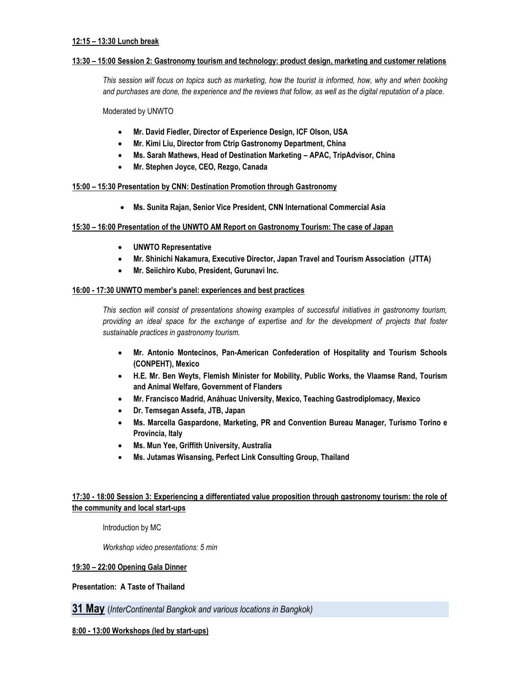#### **12:15 – 13:30 Lunch break**

### **13:30 – 15:00 Session 2: Gastronomy tourism and technology: product design, marketing and customer relations**

*This session will focus on topics such as marketing, how the tourist is informed, how, why and when booking and purchases are done, the experience and the reviews that follow, as well as the digital reputation of a place.*

Moderated by UNWTO

- **Mr. David Fiedler, Director of Experience Design, ICF Olson, USA**
- **Mr. Kimi Liu, Director from Ctrip Gastronomy Department, China**
- **Ms. Sarah Mathews, Head of Destination Marketing – APAC, TripAdvisor, China**
- **Mr. Stephen Joyce, CEO, Rezgo, Canada**

**15:00 – 15:30 Presentation by CNN: Destination Promotion through Gastronomy**

**Ms. Sunita Rajan, Senior Vice President, CNN International Commercial Asia**

# **15:30 – 16:00 Presentation of the UNWTO AM Report on Gastronomy Tourism: The case of Japan**

- **UNWTO Representative**
- **Mr. Shinichi Nakamura, Executive Director, Japan Travel and Tourism Association (JTTA)**
- **Mr. Seiichiro Kubo, President, Gurunavi Inc.**

# **16:00 - 17:30 UNWTO member's panel: experiences and best practices**

*This section will consist of presentations showing examples of successful initiatives in gastronomy tourism, providing an ideal space for the exchange of expertise and for the development of projects that foster sustainable practices in gastronomy tourism.*

- **Mr. Antonio Montecinos, Pan-American Confederation of Hospitality and Tourism Schools (CONPEHT), Mexico**
- **H.E. Mr. Ben Weyts, Flemish Minister for Mobility, Public Works, the Vlaamse Rand, Tourism and Animal Welfare, Government of Flanders**
- **Mr. Francisco Madrid, Anáhuac University, Mexico, Teaching Gastrodiplomacy, Mexico**
- **Dr. Temsegan Assefa, JTB, Japan**
- **Ms. Marcella Gaspardone, Marketing, PR and Convention Bureau Manager, Turismo Torino e Provincia, Italy**
- **Ms. Mun Yee, Griffith University, Australia**
- **Ms. Jutamas Wisansing, Perfect Link Consulting Group, Thailand**

# **17:30 - 18:00 Session 3: Experiencing a differentiated value proposition through gastronomy tourism: the role of the community and local start-ups**

Introduction by MC

*Workshop video presentations: 5 min*

# **19:30 – 22:00 Opening Gala Dinner**

**Presentation: A Taste of Thailand**

**31 May** (*InterContinental Bangkok and various locations in Bangkok)*

### **8:00 - 13:00 Workshops (led by start-ups)**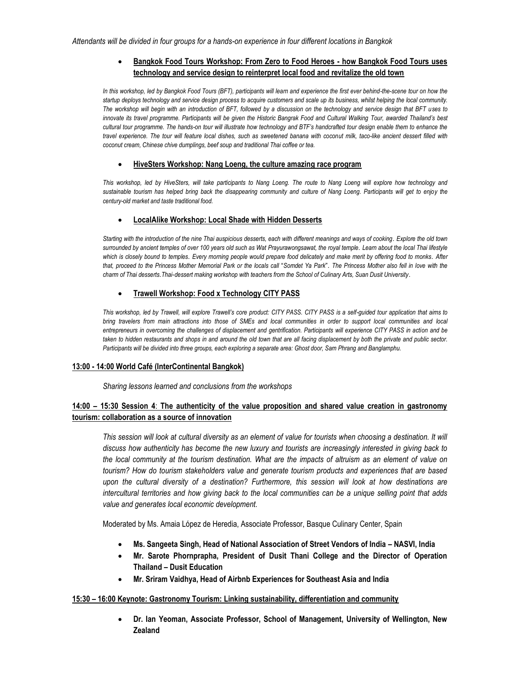# **Bangkok Food Tours Workshop: From Zero to Food Heroes - how Bangkok Food Tours uses technology and service design to reinterpret local food and revitalize the old town**

*In this workshop, led by Bangkok Food Tours (BFT), participants will learn and experience the first ever behind-the-scene tour on how the startup deploys technology and service design process to acquire customers and scale up its business, whilst helping the local community. The workshop will begin with an introduction of BFT, followed by a discussion on the technology and service design that BFT uses to innovate its travel programme. Participants will be given the Historic Bangrak Food and Cultural Walking Tour, awarded Thailand's best cultural tour programme. The hands-on tour will illustrate how technology and BTF's handcrafted tour design enable them to enhance the travel experience. The tour will feature local dishes, such as sweetened banana with coconut milk, taco-like ancient dessert filled with coconut cream, Chinese chive dumplings, beef soup and traditional Thai coffee or tea.* 

#### **HiveSters Workshop: Nang Loeng, the culture amazing race program**

This workshop, led by HiveSters, will take participants to Nang Loeng. The route to Nang Loeng will explore how technology and *sustainable tourism has helped bring back the disappearing community and culture of Nang Loeng. Participants will get to enjoy the century-old market and taste traditional food.* 

# **LocalAlike Workshop: Local Shade with Hidden Desserts**

*Starting with the introduction of the nine Thai auspicious desserts, each with different meanings and ways of cooking*. *Explore the old town surrounded by ancient temples of over 100 years old such as Wat Prayurawongsawat, the royal temple*. *Learn about the local Thai lifestyle which is closely bound to temples*. *Every morning people would prepare food delicately and make merit by offering food to monks*. *After that, proceed to the Princess Mother Memorial Park or the locals call* "*Somdet Ya Park*". *The Princess Mother also fell in love with the charm of Thai desserts*.*Thai*-*dessert making workshop with teachers from the School of Culinary Arts, Suan Dusit University*.

# **Trawell Workshop: Food x Technology CITY PASS**

*This workshop, led by Trawell, will explore Trawell's core product: CITY PASS. CITY PASS is a self-guided tour application that aims to bring travelers from main attractions into those of SMEs and local communities in order to support local communities and local entrepreneurs in overcoming the challenges of displacement and gentrification. Participants will experience CITY PASS in action and be taken to hidden restaurants and shops in and around the old town that are all facing displacement by both the private and public sector. Participants will be divided into three groups, each exploring a separate area: Ghost door, Sam Phrang and Banglamphu.* 

#### **13:00 - 14:00 World Café (InterContinental Bangkok)**

*Sharing lessons learned and conclusions from the workshops*

# **14:00 – 15:30 Session 4**: **The authenticity of the value proposition and shared value creation in gastronomy tourism: collaboration as a source of innovation**

This session will look at cultural diversity as an element of value for tourists when choosing a destination. It will *discuss how authenticity has become the new luxury and tourists are increasingly interested in giving back to the local community at the tourism destination. What are the impacts of altruism as an element of value on tourism? How do tourism stakeholders value and generate tourism products and experiences that are based upon the cultural diversity of a destination? Furthermore, this session will look at how destinations are intercultural territories and how giving back to the local communities can be a unique selling point that adds value and generates local economic development.* 

Moderated by Ms. Amaia López de Heredia, Associate Professor, Basque Culinary Center, Spain

- **Ms. Sangeeta Singh, Head of National Association of Street Vendors of India – NASVI, India**
- **Mr. Sarote Phornprapha, President of Dusit Thani College and the Director of Operation Thailand – Dusit Education**
- **Mr. Sriram Vaidhya, Head of Airbnb Experiences for Southeast Asia and India**

#### **15:30 – 16:00 Keynote: Gastronomy Tourism: Linking sustainability, differentiation and community**

 **Dr. Ian Yeoman, Associate Professor, School of Management, University of Wellington, New Zealand**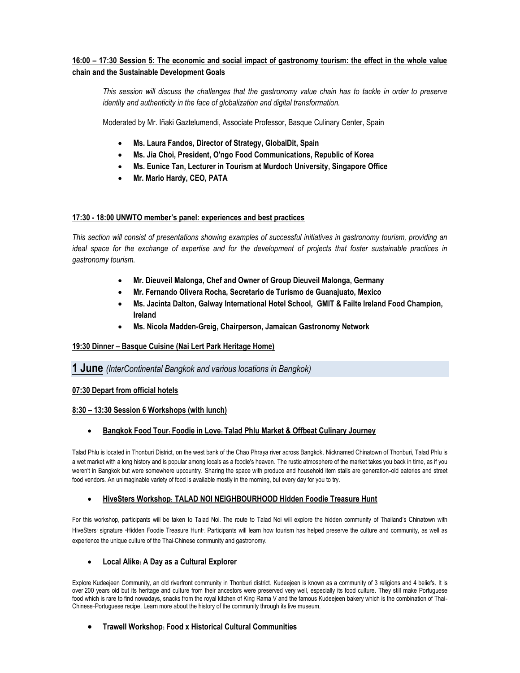# **16:00 – 17:30 Session 5: The economic and social impact of gastronomy tourism: the effect in the whole value chain and the Sustainable Development Goals**

*This session will discuss the challenges that the gastronomy value chain has to tackle in order to preserve identity and authenticity in the face of globalization and digital transformation.* 

Moderated by Mr. Iñaki Gaztelumendi, Associate Professor, Basque Culinary Center, Spain

- **Ms. Laura Fandos, Director of Strategy, GlobalDit, Spain**
- **Ms. Jia Choi, President, O'ngo Food Communications, Republic of Korea**
- **Ms. Eunice Tan, Lecturer in Tourism at Murdoch University, Singapore Office**
- **Mr. Mario Hardy, CEO, PATA**

# **17:30 - 18:00 UNWTO member's panel: experiences and best practices**

*This section will consist of presentations showing examples of successful initiatives in gastronomy tourism, providing an ideal space for the exchange of expertise and for the development of projects that foster sustainable practices in gastronomy tourism.*

- **Mr. Dieuveil Malonga, Chef and Owner of Group Dieuveil Malonga, Germany**
- **Mr. Fernando Olivera Rocha, Secretario de Turismo de Guanajuato, Mexico**
- **Ms. Jacinta Dalton, Galway International Hotel School, GMIT & Failte Ireland Food Champion, Ireland**
- **Ms. Nicola Madden-Greig, Chairperson, Jamaican Gastronomy Network**

# **19:30 Dinner – Basque Cuisine (Nai Lert Park Heritage Home)**

# **1 June** *(InterContinental Bangkok and various locations in Bangkok)*

# **07:30 Depart from official hotels**

#### **8:30 – 13:30 Session 6 Workshops (with lunch)**

# **Bangkok Food Tour: Foodie in Love: Talad Phlu Market & Offbeat Culinary Journey**

Talad Phlu is located in Thonburi District, on the west bank of the Chao Phraya river across Bangkok. Nicknamed Chinatown of Thonburi, Talad Phlu is a wet market with a long history and is popular among locals as a foodie's heaven. The rustic atmosphere of the market takes you back in time, as if you weren't in Bangkok but were somewhere upcountry. Sharing the space with produce and household item stalls are generation-old eateries and street food vendors. An unimaginable variety of food is available mostly in the morning, but every day for you to try.

# **HiveSters Workshop: TALAD NOI NEIGHBOURHOOD Hidden Foodie Treasure Hunt**

For this workshop, participants will be taken to Talad Noi. The route to Talad Noi will explore the hidden community of Thailand's Chinatown with HiveSters' signature "Hidden Foodie Treasure Hunt". Participants will learn how tourism has helped preserve the culture and community, as well as experience the unique culture of the Thai-Chinese community and gastronomy.

# **Local Alike: A Day as a Cultural Explorer**

Explore Kudeejeen Community, an old riverfront community in Thonburi district. Kudeejeen is known as a community of 3 religions and 4 beliefs. It is over 200 years old but its heritage and culture from their ancestors were preserved very well, especially its food culture. They still make Portuguese food which is rare to find nowadays, snacks from the royal kitchen of King Rama V and the famous Kudeejeen bakery which is the combination of Thai-Chinese-Portuguese recipe. Learn more about the history of the community through its live museum.

# **Trawell Workshop: Food x Historical Cultural Communities**